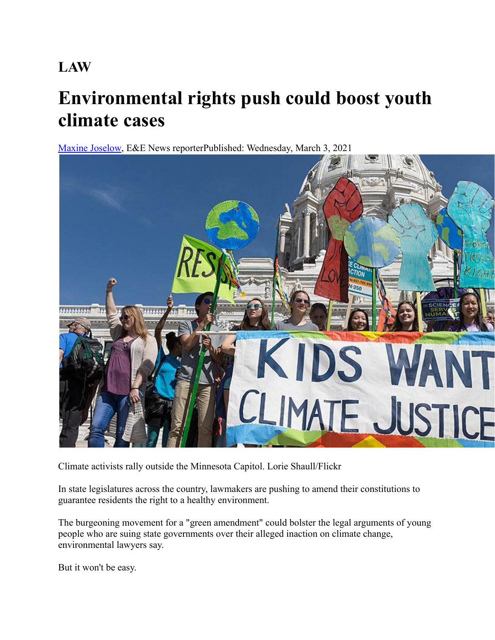# **LAW**

# **Environmental rights push could boost youth climate cases**

[Maxine Joselow](https://www.eenews.net/staff/Maxine_Joselow), E&E News reporterPublished: Wednesday, March 3, 2021



Climate activists rally outside the Minnesota Capitol. Lorie Shaull/Flickr

In state legislatures across the country, lawmakers are pushing to amend their constitutions to guarantee residents the right to a healthy environment.

The burgeoning movement for a "green amendment" could bolster the legal arguments of young people who are suing state governments over their alleged inaction on climate change, environmental lawyers say.

But it won't be easy.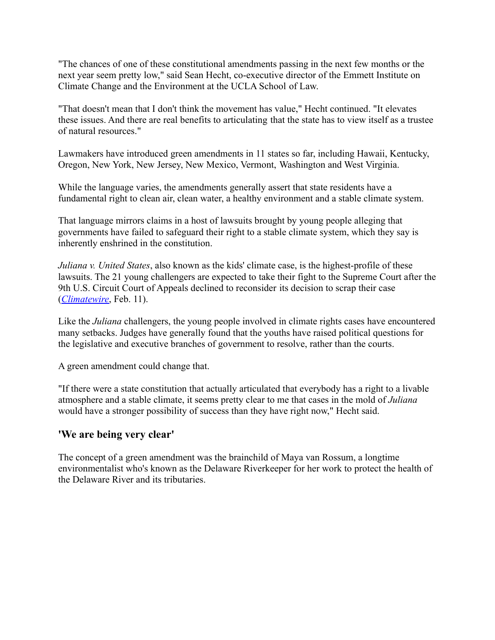"The chances of one of these constitutional amendments passing in the next few months or the next year seem pretty low," said Sean Hecht, co-executive director of the Emmett Institute on Climate Change and the Environment at the UCLA School of Law.

"That doesn't mean that I don't think the movement has value," Hecht continued. "It elevates these issues. And there are real benefits to articulating that the state has to view itself as a trustee of natural resources."

Lawmakers have introduced green amendments in 11 states so far, including Hawaii, Kentucky, Oregon, New York, New Jersey, New Mexico, Vermont, Washington and West Virginia.

While the language varies, the amendments generally assert that state residents have a fundamental right to clean air, clean water, a healthy environment and a stable climate system.

That language mirrors claims in a host of lawsuits brought by young people alleging that governments have failed to safeguard their right to a stable climate system, which they say is inherently enshrined in the constitution.

*Juliana v. United States*, also known as the kids' climate case, is the highest-profile of these lawsuits. The 21 young challengers are expected to take their fight to the Supreme Court after the 9th U.S. Circuit Court of Appeals declined to reconsider its decision to scrap their case (*[Climatewire](https://www.eenews.net/climatewire/stories/1063724905/)*, Feb. 11).

Like the *Juliana* challengers, the young people involved in climate rights cases have encountered many setbacks. Judges have generally found that the youths have raised political questions for the legislative and executive branches of government to resolve, rather than the courts.

A green amendment could change that.

"If there were a state constitution that actually articulated that everybody has a right to a livable atmosphere and a stable climate, it seems pretty clear to me that cases in the mold of *Juliana* would have a stronger possibility of success than they have right now," Hecht said.

## **'We are being very clear'**

The concept of a green amendment was the brainchild of Maya van Rossum, a longtime environmentalist who's known as the Delaware Riverkeeper for her work to protect the health of the Delaware River and its tributaries.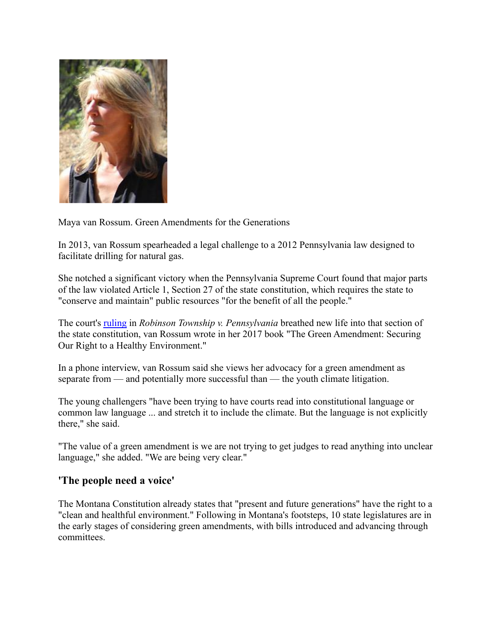

Maya van Rossum. Green Amendments for the Generations

In 2013, van Rossum spearheaded a legal challenge to a 2012 Pennsylvania law designed to facilitate drilling for natural gas.

She notched a significant victory when the Pennsylvania Supreme Court found that major parts of the law violated Article 1, Section 27 of the state constitution, which requires the state to "conserve and maintain" public resources "for the benefit of all the people."

The court's [ruling](https://www.delawareriverkeeper.org/sites/default/files/Robinson%20Township%2C%20DRN%20v%20Commonwealth%20of%20PA%20%282016-09-28%29.pdf) in *Robinson Township v. Pennsylvania* breathed new life into that section of the state constitution, van Rossum wrote in her 2017 book "The Green Amendment: Securing Our Right to a Healthy Environment."

In a phone interview, van Rossum said she views her advocacy for a green amendment as separate from — and potentially more successful than — the youth climate litigation.

The young challengers "have been trying to have courts read into constitutional language or common law language ... and stretch it to include the climate. But the language is not explicitly there," she said.

"The value of a green amendment is we are not trying to get judges to read anything into unclear language," she added. "We are being very clear."

#### **'The people need a voice'**

The Montana Constitution already states that "present and future generations" have the right to a "clean and healthful environment." Following in Montana's footsteps, 10 state legislatures are in the early stages of considering green amendments, with bills introduced and advancing through committees.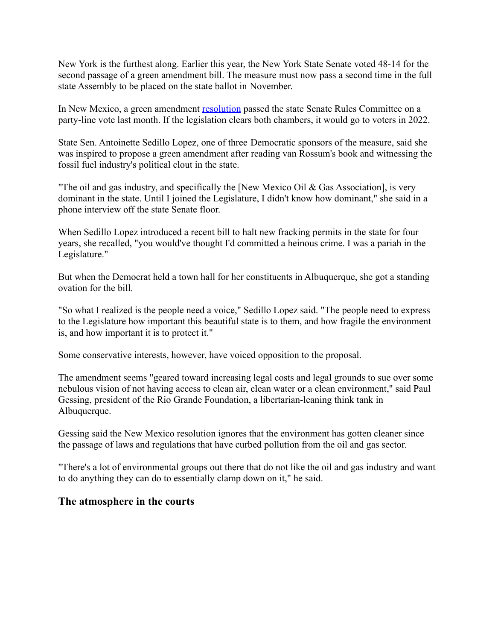New York is the furthest along. Earlier this year, the New York State Senate voted 48-14 for the second passage of a green amendment bill. The measure must now pass a second time in the full state Assembly to be placed on the state ballot in November.

In New Mexico, a green amendment [resolution](https://www.nmlegis.gov/Sessions/21%20Regular/resolutions/senate/SJR03.pdf) passed the state Senate Rules Committee on a party-line vote last month. If the legislation clears both chambers, it would go to voters in 2022.

State Sen. Antoinette Sedillo Lopez, one of three Democratic sponsors of the measure, said she was inspired to propose a green amendment after reading van Rossum's book and witnessing the fossil fuel industry's political clout in the state.

"The oil and gas industry, and specifically the [New Mexico Oil & Gas Association], is very dominant in the state. Until I joined the Legislature, I didn't know how dominant," she said in a phone interview off the state Senate floor.

When Sedillo Lopez introduced a recent bill to halt new fracking permits in the state for four years, she recalled, "you would've thought I'd committed a heinous crime. I was a pariah in the Legislature."

But when the Democrat held a town hall for her constituents in Albuquerque, she got a standing ovation for the bill.

"So what I realized is the people need a voice," Sedillo Lopez said. "The people need to express to the Legislature how important this beautiful state is to them, and how fragile the environment is, and how important it is to protect it."

Some conservative interests, however, have voiced opposition to the proposal.

The amendment seems "geared toward increasing legal costs and legal grounds to sue over some nebulous vision of not having access to clean air, clean water or a clean environment," said Paul Gessing, president of the Rio Grande Foundation, a libertarian-leaning think tank in Albuquerque.

Gessing said the New Mexico resolution ignores that the environment has gotten cleaner since the passage of laws and regulations that have curbed pollution from the oil and gas sector.

"There's a lot of environmental groups out there that do not like the oil and gas industry and want to do anything they can do to essentially clamp down on it," he said.

## **The atmosphere in the courts**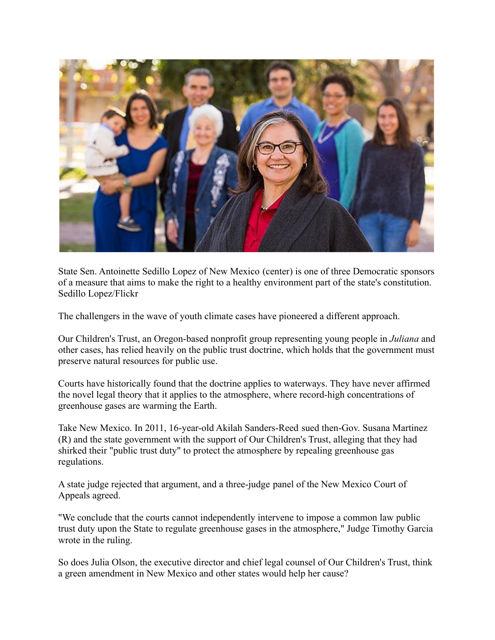

State Sen. Antoinette Sedillo Lopez of New Mexico (center) is one of three Democratic sponsors of a measure that aims to make the right to a healthy environment part of the state's constitution. Sedillo Lopez/Flickr

The challengers in the wave of youth climate cases have pioneered a different approach.

Our Children's Trust, an Oregon-based nonprofit group representing young people in *Juliana* and other cases, has relied heavily on the public trust doctrine, which holds that the government must preserve natural resources for public use.

Courts have historically found that the doctrine applies to waterways. They have never affirmed the novel legal theory that it applies to the atmosphere, where record-high concentrations of greenhouse gases are warming the Earth.

Take New Mexico. In 2011, 16-year-old Akilah Sanders-Reed sued then-Gov. Susana Martinez (R) and the state government with the support of Our Children's Trust, alleging that they had shirked their "public trust duty" to protect the atmosphere by repealing greenhouse gas regulations.

A state judge rejected that argument, and a three-judge panel of the New Mexico Court of Appeals agreed.

"We conclude that the courts cannot independently intervene to impose a common law public trust duty upon the State to regulate greenhouse gases in the atmosphere," Judge Timothy Garcia wrote in the ruling.

So does Julia Olson, the executive director and chief legal counsel of Our Children's Trust, think a green amendment in New Mexico and other states would help her cause?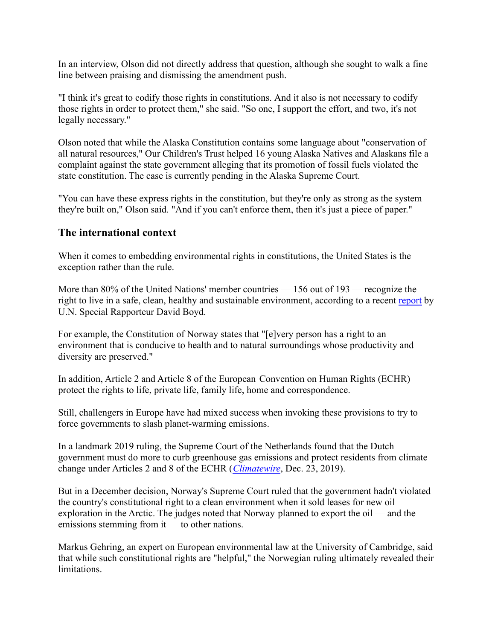In an interview, Olson did not directly address that question, although she sought to walk a fine line between praising and dismissing the amendment push.

"I think it's great to codify those rights in constitutions. And it also is not necessary to codify those rights in order to protect them," she said. "So one, I support the effort, and two, it's not legally necessary."

Olson noted that while the Alaska Constitution contains some language about "conservation of all natural resources," Our Children's Trust helped 16 young Alaska Natives and Alaskans file a complaint against the state government alleging that its promotion of fossil fuels violated the state constitution. The case is currently pending in the Alaska Supreme Court.

"You can have these express rights in the constitution, but they're only as strong as the system they're built on," Olson said. "And if you can't enforce them, then it's just a piece of paper."

#### **The international context**

When it comes to embedding environmental rights in constitutions, the United States is the exception rather than the rule.

More than 80% of the United Nations' member countries — 156 out of 193 — recognize the right to live in a safe, clean, healthy and sustainable environment, according to a recent [report](http://www.srenvironment.org/report/good-practices-in-implementing-the-right-to-a-healthy-environment-2020) by U.N. Special Rapporteur David Boyd.

For example, the Constitution of Norway states that "[e]very person has a right to an environment that is conducive to health and to natural surroundings whose productivity and diversity are preserved."

In addition, Article 2 and Article 8 of the European Convention on Human Rights (ECHR) protect the rights to life, private life, family life, home and correspondence.

Still, challengers in Europe have had mixed success when invoking these provisions to try to force governments to slash planet-warming emissions.

In a landmark 2019 ruling, the Supreme Court of the Netherlands found that the Dutch government must do more to curb greenhouse gas emissions and protect residents from climate change under Articles 2 and 8 of the ECHR (*[Climatewire](https://www.eenews.net/climatewire/stories/1061883283/)*, Dec. 23, 2019).

But in a December decision, Norway's Supreme Court ruled that the government hadn't violated the country's constitutional right to a clean environment when it sold leases for new oil exploration in the Arctic. The judges noted that Norway planned to export the oil — and the emissions stemming from it — to other nations.

Markus Gehring, an expert on European environmental law at the University of Cambridge, said that while such constitutional rights are "helpful," the Norwegian ruling ultimately revealed their limitations.